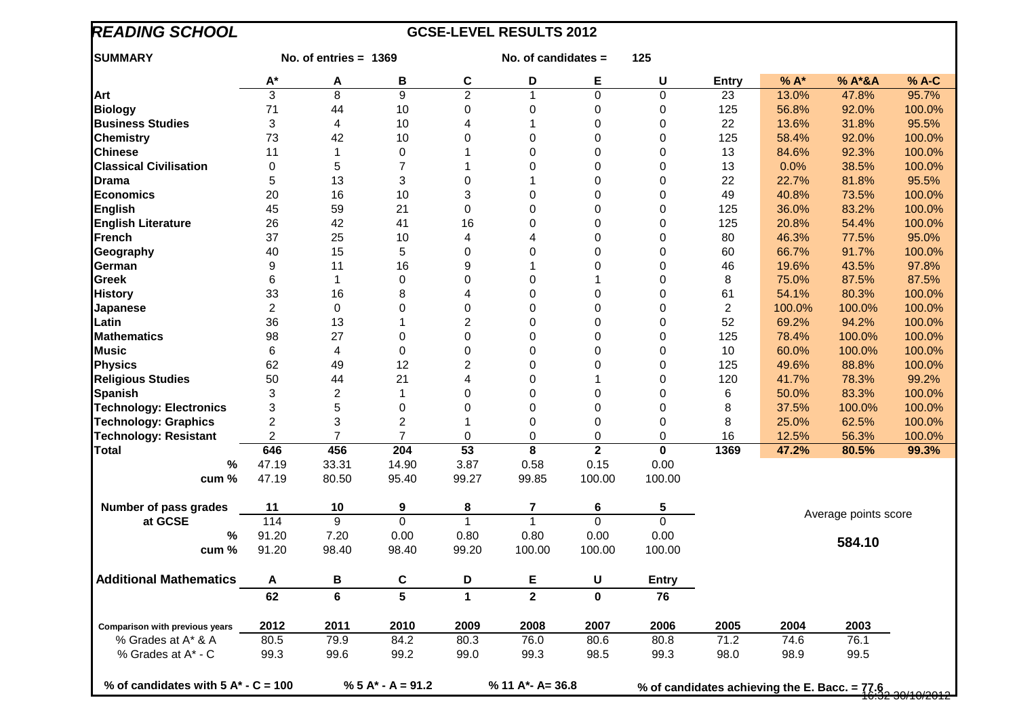| <b>READING SCHOOL</b><br><b>GCSE-LEVEL RESULTS 2012</b> |                  |                         |                         |                |                       |                         |              |                                               |        |                      |        |
|---------------------------------------------------------|------------------|-------------------------|-------------------------|----------------|-----------------------|-------------------------|--------------|-----------------------------------------------|--------|----------------------|--------|
| <b>SUMMARY</b>                                          |                  |                         | No. of entries $= 1369$ |                | No. of candidates $=$ |                         | 125          |                                               |        |                      |        |
|                                                         | $A^*$            | A                       | В                       | C              | D                     | E                       | U            | Entry                                         | % A*   | % A*&A               | % A-C  |
| Art                                                     | $\overline{3}$   | $\overline{8}$          | $\overline{9}$          | $\overline{2}$ | $\mathbf{1}$          | $\overline{0}$          | 0            | $\overline{23}$                               | 13.0%  | 47.8%                | 95.7%  |
| <b>Biology</b>                                          | 71               | 44                      | 10                      | 0              | 0                     | 0                       | 0            | 125                                           | 56.8%  | 92.0%                | 100.0% |
| <b>Business Studies</b>                                 | 3                | 4                       | 10                      | 4              | 1                     | 0                       | 0            | 22                                            | 13.6%  | 31.8%                | 95.5%  |
| <b>Chemistry</b>                                        | 73               | 42                      | 10                      | 0              | 0                     | 0                       | 0            | 125                                           | 58.4%  | 92.0%                | 100.0% |
| <b>Chinese</b>                                          | 11               | 1                       | 0                       |                | 0                     | 0                       | 0            | 13                                            | 84.6%  | 92.3%                | 100.0% |
| <b>Classical Civilisation</b>                           | 0                | 5                       | $\overline{7}$          | 1              | 0                     | 0                       | 0            | 13                                            | 0.0%   | 38.5%                | 100.0% |
| <b>Drama</b>                                            | 5                | 13                      | 3                       | 0              | 1                     | 0                       | 0            | 22                                            | 22.7%  | 81.8%                | 95.5%  |
| <b>Economics</b>                                        | 20               | 16                      | 10                      | 3              | 0                     | 0                       | 0            | 49                                            | 40.8%  | 73.5%                | 100.0% |
| English                                                 | 45               | 59                      | 21                      | 0              | 0                     | 0                       | 0            | 125                                           | 36.0%  | 83.2%                | 100.0% |
| <b>English Literature</b>                               | 26               | 42                      | 41                      | 16             | 0                     | 0                       | 0            | 125                                           | 20.8%  | 54.4%                | 100.0% |
| French                                                  | 37               | 25                      | 10                      | 4              | 4                     | 0                       | 0            | 80                                            | 46.3%  | 77.5%                | 95.0%  |
| Geography                                               | 40               | 15                      | 5                       | 0              | 0                     | 0                       | 0            | 60                                            | 66.7%  | 91.7%                | 100.0% |
| German                                                  | 9                | 11                      | 16                      | 9              |                       | 0                       | 0            | 46                                            | 19.6%  | 43.5%                | 97.8%  |
| <b>Greek</b>                                            | 6                | $\mathbf 1$             | 0                       | $\Omega$       | 0                     |                         | 0            | 8                                             | 75.0%  | 87.5%                | 87.5%  |
| <b>History</b>                                          | 33               | 16                      | 8                       | 4              | 0                     | 0                       | 0            | 61                                            | 54.1%  | 80.3%                | 100.0% |
| Japanese                                                | $\boldsymbol{2}$ | 0                       | 0                       | $\mathbf 0$    | 0                     | 0                       | 0            | $\overline{2}$                                | 100.0% | 100.0%               | 100.0% |
| Latin                                                   | 36               | 13                      | $\mathbf{1}$            | $\overline{c}$ | 0                     | 0                       | 0            | 52                                            | 69.2%  | 94.2%                | 100.0% |
| <b>Mathematics</b>                                      | 98               | 27                      | 0                       | $\Omega$       | 0                     | 0                       | 0            | 125                                           | 78.4%  | 100.0%               | 100.0% |
| <b>Music</b>                                            | 6                | 4                       | 0                       | $\mathbf 0$    | 0                     | 0                       | 0            | 10                                            | 60.0%  | 100.0%               | 100.0% |
| <b>Physics</b>                                          | 62               | 49                      | 12                      | $\overline{c}$ | 0                     | 0                       | 0            | 125                                           | 49.6%  | 88.8%                | 100.0% |
| <b>Religious Studies</b>                                | 50               | 44                      | 21                      | 4              | 0                     |                         | 0            | 120                                           | 41.7%  | 78.3%                | 99.2%  |
| <b>Spanish</b>                                          | 3                | $\overline{\mathbf{c}}$ | $\mathbf{1}$            | 0              | 0                     | 0                       | 0            | 6                                             | 50.0%  | 83.3%                | 100.0% |
| <b>Technology: Electronics</b>                          | 3                | 5                       | 0                       | 0              | 0                     | 0                       | 0            | 8                                             | 37.5%  | 100.0%               | 100.0% |
| <b>Technology: Graphics</b>                             | $\overline{c}$   | 3                       | $\boldsymbol{2}$        | 1              | 0                     | 0                       | 0            | 8                                             | 25.0%  | 62.5%                | 100.0% |
| <b>Technology: Resistant</b>                            | $\overline{2}$   | 7                       | $\overline{7}$          | 0              | 0                     | 0                       | 0            | 16                                            | 12.5%  | 56.3%                | 100.0% |
| Total                                                   | 646              | 456                     | 204                     | 53             | 8                     | $\overline{\mathbf{2}}$ | $\mathbf 0$  | 1369                                          | 47.2%  | 80.5%                | 99.3%  |
| $\%$                                                    | 47.19            | 33.31                   | 14.90                   | 3.87           | 0.58                  | 0.15                    | 0.00         |                                               |        |                      |        |
| cum%                                                    | 47.19            | 80.50                   | 95.40                   | 99.27          | 99.85                 | 100.00                  | 100.00       |                                               |        |                      |        |
|                                                         |                  |                         |                         |                |                       |                         |              |                                               |        |                      |        |
| Number of pass grades                                   | 11               | 10                      | 9                       | ${\bf 8}$      | 7                     | 6                       | 5            |                                               |        |                      |        |
| at GCSE                                                 | 114              | 9                       | 0                       | $\mathbf{1}$   | $\mathbf{1}$          | 0                       | 0            |                                               |        | Average points score |        |
| $\%$                                                    | 91.20            | 7.20                    | 0.00                    | 0.80           | 0.80                  | 0.00                    | 0.00         |                                               |        |                      |        |
| cum%                                                    | 91.20            | 98.40                   | 98.40                   | 99.20          | 100.00                | 100.00                  | 100.00       |                                               |        | 584.10               |        |
| <b>Additional Mathematics</b>                           | A                | В                       | C                       | D              | E                     | U                       | <b>Entry</b> |                                               |        |                      |        |
|                                                         | 62               | 6                       | 5                       | $\mathbf{1}$   | $\overline{2}$        | $\mathbf{0}$            | 76           |                                               |        |                      |        |
| Comparison with previous years                          | 2012             | 2011                    | 2010                    | 2009           | 2008                  | 2007                    | 2006         | 2005                                          | 2004   | 2003                 |        |
| % Grades at A* & A                                      | 80.5             | 79.9                    | 84.2                    | 80.3           | 76.0                  | 80.6                    | 80.8         | 71.2                                          | 74.6   | 76.1                 |        |
| % Grades at A* - C                                      | 99.3             | 99.6                    | 99.2                    | 99.0           | 99.3                  | 98.5                    | 99.3         | 98.0                                          | 98.9   | 99.5                 |        |
| % of candidates with $5 A^* - C = 100$                  |                  | $% 5 A^* - A = 91.2$    |                         |                | $% 11 A*-A= 36.8$     |                         |              | % of candidates achieving the E. Bacc. = 77.6 |        |                      |        |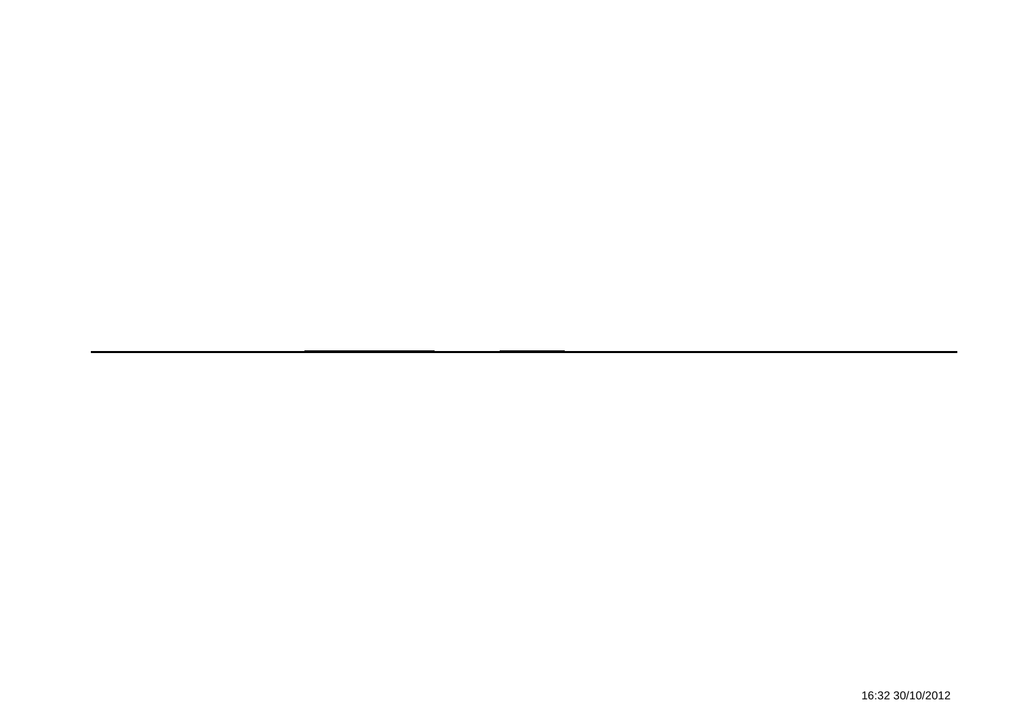16:32 30/10/2012